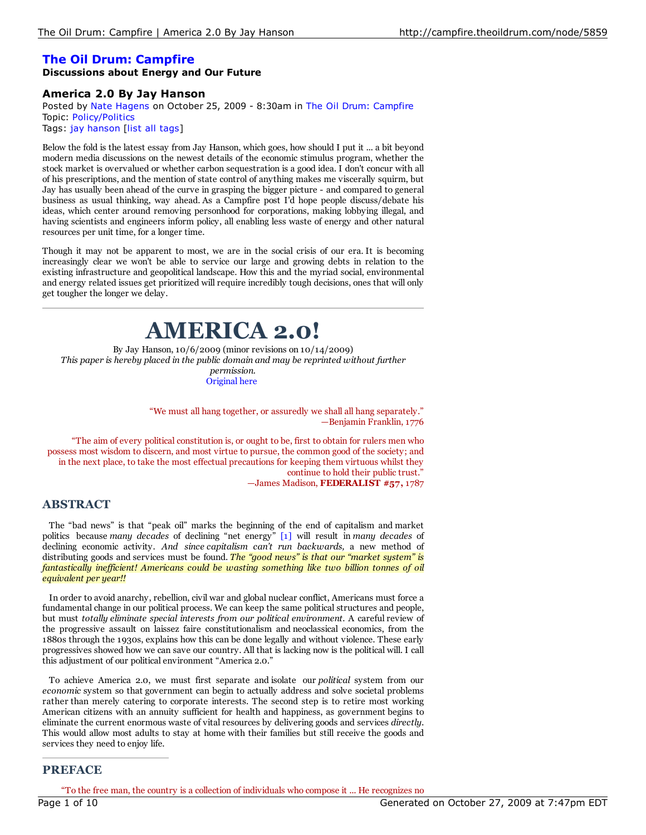# **The Oil Drum: Campfire**

## **Discussions about Energy and Our Future**

## **America 2.0 By Jay Hanson**

Posted by Nate Hagens on October 25, 2009 - 8:30am in The Oil Drum: Campfire Topic: Policy/Politics Tags: jay hanson [list all tags]

Below the fold is the latest essay from Jay Hanson, which goes, how should I put it ... a bit beyond modern media discussions on the newest details of the economic stimulus program, whether the stock market is overvalued or whether carbon sequestration is a good idea. I don't concur with all of his prescriptions, and the mention of state control of anything makes me viscerally squirm, but Jay has usually been ahead of the curve in grasping the bigger picture - and compared to general business as usual thinking, way ahead. As a Campfire post I'd hope people discuss/debate his ideas, which center around removing personhood for corporations, making lobbying illegal, and having scientists and engineers inform policy, all enabling less waste of energy and other natural resources per unit time, for a longer time.

Though it may not be apparent to most, we are in the social crisis of our era. It is becoming increasingly clear we won't be able to service our large and growing debts in relation to the existing infrastructure and geopolitical landscape. How this and the myriad social, environmental and energy related issues get prioritized will require incredibly tough decisions, ones that will only get tougher the longer we delay.

# **AMERICA 2.0!**

By Jay Hanson, 10/6/2009 (minor revisions on 10/14/2009) *This paper is hereby placed in the public domain and may be reprinted without further permission.* Original here

> "We must all hang together, or assuredly we shall all hang separately." —Benjamin Franklin, 1776

"The aim of every political constitution is, or ought to be, first to obtain for rulers men who possess most wisdom to discern, and most virtue to pursue, the common good of the society; and in the next place, to take the most effectual precautions for keeping them virtuous whilst they continue to hold their public trust." —James Madison, **FEDERALIST #57,** 1787

# **ABSTRACT**

The "bad news" is that "peak oil" marks the beginning of the end of capitalism and market politics because *many decades* of declining "net energy" [1] will result in *many decades* of declining economic activity. *And since capitalism can't run backwards,* a new method of distributing goods and services must be found. *The "good news" is that our "market system" is fantastically inef icient! Americans could be wasting something like two billion tonnes of oil equivalent per year!!*

In order to avoid anarchy, rebellion, civil war and global nuclear conflict, Americans must force a fundamental change in our political process. We can keep the same political structures and people, but must *totally eliminate special interests from our political environment.* A careful review of the progressive assault on laissez faire constitutionalism and neoclassical economics, from the 1880s through the 1930s, explains how this can be done legally and without violence. These early progressives showed how we can save our country. All that is lacking now is the political will. I call this adjustment of our political environment "America 2.0."

To achieve America 2.0, we must first separate and isolate our *political* system from our *economic* system so that government can begin to actually address and solve societal problems rather than merely catering to corporate interests. The second step is to retire most working American citizens with an annuity sufficient for health and happiness, as government begins to eliminate the current enormous waste of vital resources by delivering goods and services *directly*. This would allow most adults to stay at home with their families but still receive the goods and services they need to enjoy life.

## **PREFACE**

"To the free man, the country is a collection of individuals who compose it ... He recognizes no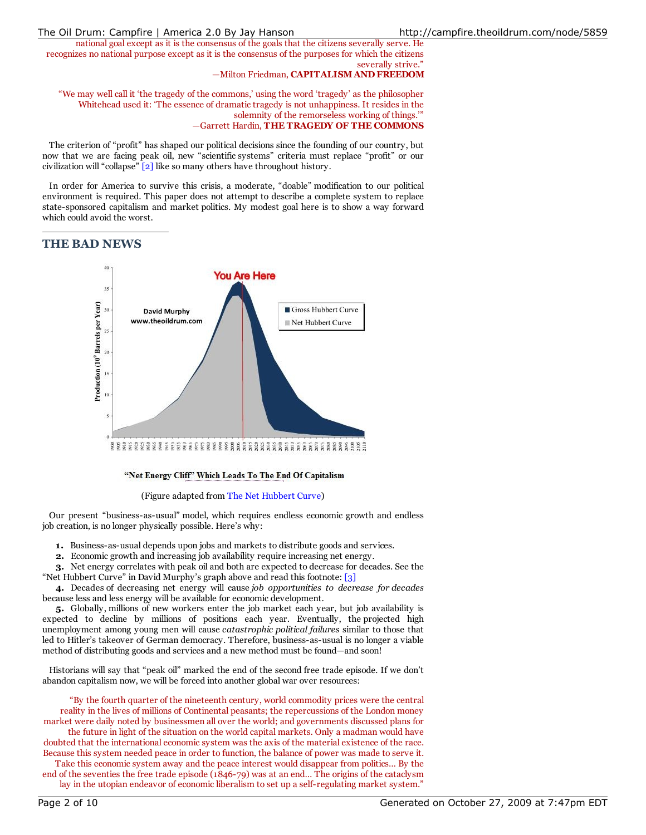national goal except as it is the consensus of the goals that the citizens severally serve. He recognizes no national purpose except as it is the consensus of the purposes for which the citizens severally strive."

#### —Milton Friedman, **CAPITALISM AND FREEDOM**

"We may well call it 'the tragedy of the commons,' using the word 'tragedy' as the philosopher Whitehead used it: 'The essence of dramatic tragedy is not unhappiness. It resides in the solemnity of the remorseless working of things.'" —Garrett Hardin, **THE TRAGEDY OF THE COMMONS**

The criterion of "profit" has shaped our political decisions since the founding of our country, but now that we are facing peak oil, new "scientific systems" criteria must replace "profit" or our civilization will "collapse" [2] like so many others have throughout history.

In order for America to survive this crisis, a moderate, "doable" modification to our political environment is required. This paper does not attempt to describe a complete system to replace state-sponsored capitalism and market politics. My modest goal here is to show a way forward which could avoid the worst.

## **THE BAD NEWS**



#### "Net Energy Cliff" Which Leads To The End Of Capitalism

#### (Figure adapted from The Net Hubbert Curve)

Our present "business-as-usual" model, which requires endless economic growth and endless job creation, is no longer physically possible. Here's why:

- **1.** Business-as-usual depends upon jobs and markets to distribute goods and services.
- **2.** Economic growth and increasing job availability require increasing net energy.

**3.** Net energy correlates with peak oil and both are expected to decrease for decades. See the "Net Hubbert Curve" in David Murphy's graph above and read this footnote: [3]

**4.** Decades of decreasing net energy will cause *job opportunities to decrease for decades* because less and less energy will be available for economic development.

**5.** Globally, millions of new workers enter the job market each year, but job availability is expected to decline by millions of positions each year. Eventually, the projected high unemployment among young men will cause *catastrophic political failures* similar to those that led to Hitler's takeover of German democracy. Therefore, business-as-usual is no longer a viable method of distributing goods and services and a new method must be found—and soon!

Historians will say that "peak oil" marked the end of the second free trade episode*.* If we don't abandon capitalism now, we will be forced into another global war over resources:

"By the fourth quarter of the nineteenth century, world commodity prices were the central reality in the lives of millions of Continental peasants; the repercussions of the London money market were daily noted by businessmen all over the world; and governments discussed plans for the future in light of the situation on the world capital markets. Only a madman would have doubted that the international economic system was the axis of the material existence of the race. Because this system needed peace in order to function, the balance of power was made to serve it.

Take this economic system away and the peace interest would disappear from politics… By the end of the seventies the free trade episode (1846-79) was at an end… The origins of the cataclysm lay in the utopian endeavor of economic liberalism to set up a self-regulating market system."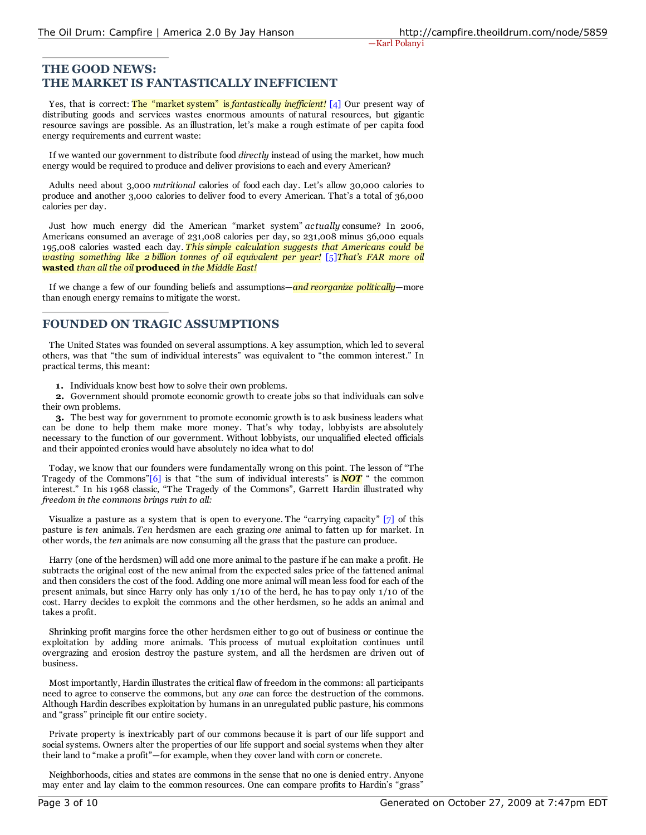# **THE GOOD NEWS: THE MARKET IS FANTASTICALLY INEFFICIENT**

Yes, that is correct: The "market system" is *fantastically inefficient!* [4] Our present way of distributing goods and services wastes enormous amounts of natural resources, but gigantic resource savings are possible. As an illustration, let's make a rough estimate of per capita food energy requirements and current waste:

If we wanted our government to distribute food *directly* instead of using the market, how much energy would be required to produce and deliver provisions to each and every American?

Adults need about 3,000 *nutritional* calories of food each day. Let's allow 30,000 calories to produce and another 3,000 calories to deliver food to every American. That's a total of 36,000 calories per day.

Just how much energy did the American "market system" *actually* consume? In 2006, Americans consumed an average of 231,008 calories per day, so 231,008 minus 36,000 equals 195,008 calories wasted each day. *This simple calculation suggests that Americans could be wasting something like 2 billion tonnes of oil equivalent per year!* [5]*That's FAR more oil* **wasted** *than all the oil* **produced** *in the Middle East!*

If we change a few of our founding beliefs and assumptions—*and reorganize politically*—more than enough energy remains to mitigate the worst.

# **FOUNDED ON TRAGIC ASSUMPTIONS**

The United States was founded on several assumptions. A key assumption, which led to several others, was that "the sum of individual interests" was equivalent to "the common interest." In practical terms, this meant:

**1.** Individuals know best how to solve their own problems.

**2.** Government should promote economic growth to create jobs so that individuals can solve their own problems.

**3.** The best way for government to promote economic growth is to ask business leaders what can be done to help them make more money. That's why today, lobbyists are absolutely necessary to the function of our government. Without lobbyists, our unqualified elected officials and their appointed cronies would have absolutely no idea what to do!

Today, we know that our founders were fundamentally wrong on this point. The lesson of "The Tragedy of the Commons" $[6]$  is that "the sum of individual interests" is **NOT** " the common interest." In his 1968 classic, "The Tragedy of the Commons", Garrett Hardin illustrated why *freedom in the commons brings ruin to all:*

Visualize a pasture as a system that is open to everyone. The "carrying capacity" [7] of this pasture is *ten* animals. *Ten* herdsmen are each grazing *one* animal to fatten up for market. In other words, the *ten* animals are now consuming all the grass that the pasture can produce.

Harry (one of the herdsmen) will add one more animal to the pasture if he can make a profit. He subtracts the original cost of the new animal from the expected sales price of the fattened animal and then considers the cost of the food. Adding one more animal will mean less food for each of the present animals, but since Harry only has only 1/10 of the herd, he has to pay only 1/10 of the cost. Harry decides to exploit the commons and the other herdsmen, so he adds an animal and takes a profit.

Shrinking profit margins force the other herdsmen either to go out of business or continue the exploitation by adding more animals. This process of mutual exploitation continues until overgrazing and erosion destroy the pasture system, and all the herdsmen are driven out of business.

Most importantly, Hardin illustrates the critical flaw of freedom in the commons: all participants need to agree to conserve the commons, but any *one* can force the destruction of the commons. Although Hardin describes exploitation by humans in an unregulated public pasture, his commons and "grass" principle fit our entire society.

Private property is inextricably part of our commons because it is part of our life support and social systems. Owners alter the properties of our life support and social systems when they alter their land to "make a profit"—for example, when they cover land with corn or concrete.

Neighborhoods, cities and states are commons in the sense that no one is denied entry. Anyone may enter and lay claim to the common resources. One can compare profits to Hardin's "grass"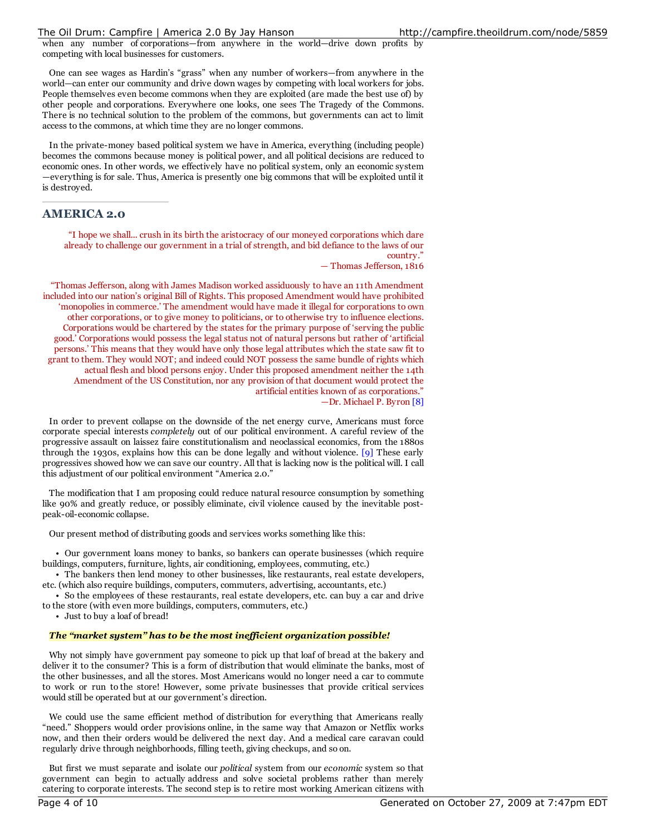when any number of corporations—from anywhere in the world—drive down profits by competing with local businesses for customers.

One can see wages as Hardin's "grass" when any number of workers—from anywhere in the world—can enter our community and drive down wages by competing with local workers for jobs. People themselves even become commons when they are exploited (are made the best use of) by other people and corporations. Everywhere one looks, one sees The Tragedy of the Commons. There is no technical solution to the problem of the commons, but governments can act to limit access to the commons, at which time they are no longer commons.

In the private-money based political system we have in America, everything (including people) becomes the commons because money is political power, and all political decisions are reduced to economic ones. In other words, we effectively have no political system, only an economic system —everything is for sale. Thus, America is presently one big commons that will be exploited until it is destroyed.

## **AMERICA 2.0**

"I hope we shall... crush in its birth the aristocracy of our moneyed corporations which dare already to challenge our government in a trial of strength, and bid defiance to the laws of our country."

— Thomas Jefferson, 1816

"Thomas Jefferson, along with James Madison worked assiduously to have an 11th Amendment included into our nation's original Bill of Rights. This proposed Amendment would have prohibited 'monopolies in commerce.' The amendment would have made it illegal for corporations to own other corporations, or to give money to politicians, or to otherwise try to influence elections. Corporations would be chartered by the states for the primary purpose of 'serving the public good.' Corporations would possess the legal status not of natural persons but rather of 'artificial persons.' This means that they would have only those legal attributes which the state saw fit to grant to them. They would NOT; and indeed could NOT possess the same bundle of rights which actual flesh and blood persons enjoy. Under this proposed amendment neither the 14th Amendment of the US Constitution, nor any provision of that document would protect the artificial entities known of as corporations." —Dr. Michael P. Byron [8]

In order to prevent collapse on the downside of the net energy curve, Americans must force corporate special interests *completely* out of our political environment*.* A careful review of the progressive assault on laissez faire constitutionalism and neoclassical economics, from the 1880s through the 1930s, explains how this can be done legally and without violence. [9] These early progressives showed how we can save our country. All that is lacking now is the political will. I call this adjustment of our political environment "America 2.0."

The modification that I am proposing could reduce natural resource consumption by something like 90% and greatly reduce, or possibly eliminate, civil violence caused by the inevitable postpeak-oil-economic collapse.

Our present method of distributing goods and services works something like this:

• Our government loans money to banks, so bankers can operate businesses (which require buildings, computers, furniture, lights, air conditioning, employees, commuting, etc.)

• The bankers then lend money to other businesses, like restaurants, real estate developers, etc. (which also require buildings, computers, commuters, advertising, accountants, etc.)

• So the employees of these restaurants, real estate developers, etc. can buy a car and drive to the store (with even more buildings, computers, commuters, etc.)

• Just to buy a loaf of bread!

#### *The "market system" has to be the most inef icient organization possible!*

Why not simply have government pay someone to pick up that loaf of bread at the bakery and deliver it to the consumer? This is a form of distribution that would eliminate the banks, most of the other businesses, and all the stores. Most Americans would no longer need a car to commute to work or run to the store! However, some private businesses that provide critical services would still be operated but at our government's direction.

We could use the same efficient method of distribution for everything that Americans really "need." Shoppers would order provisions online, in the same way that Amazon or Netflix works now, and then their orders would be delivered the next day. And a medical care caravan could regularly drive through neighborhoods, filling teeth, giving checkups, and so on.

But first we must separate and isolate our *political* system from our *economic* system so that government can begin to actually address and solve societal problems rather than merely catering to corporate interests. The second step is to retire most working American citizens with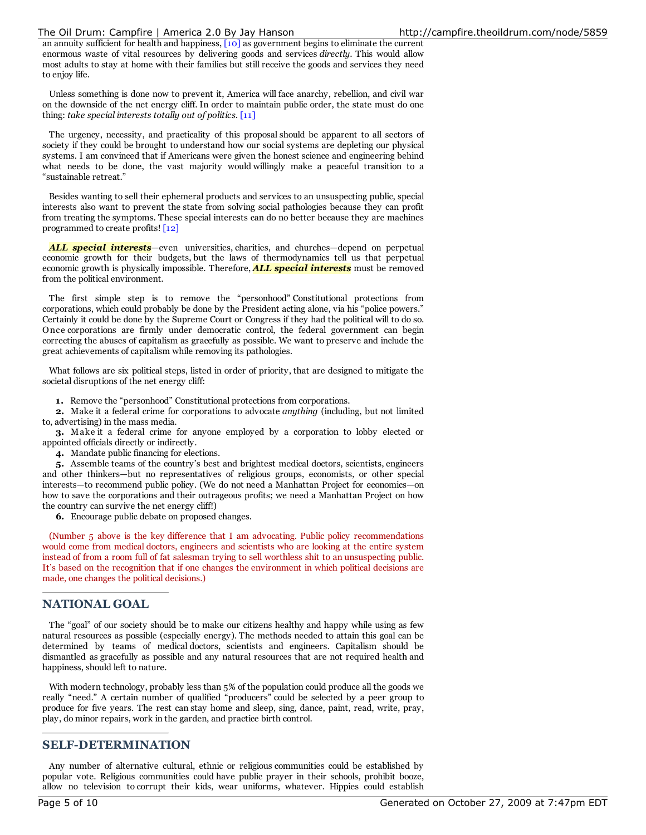an annuity sufficient for health and happiness, [10] as government begins to eliminate the current enormous waste of vital resources by delivering goods and services *directly*. This would allow most adults to stay at home with their families but still receive the goods and services they need to enjoy life.

Unless something is done now to prevent it, America will face anarchy, rebellion, and civil war on the downside of the net energy cliff. In order to maintain public order, the state must do one thing: *take special interests totally out of politics.* [11]

The urgency, necessity, and practicality of this proposal should be apparent to all sectors of society if they could be brought to understand how our social systems are depleting our physical systems. I am convinced that if Americans were given the honest science and engineering behind what needs to be done, the vast majority would willingly make a peaceful transition to a "sustainable retreat."

Besides wanting to sell their ephemeral products and services to an unsuspecting public, special interests also want to prevent the state from solving social pathologies because they can profit from treating the symptoms. These special interests can do no better because they are machines programmed to create profits! [12]

*ALL special interests*—even universities, charities, and churches—depend on perpetual economic growth for their budgets, but the laws of thermodynamics tell us that perpetual economic growth is physically impossible. Therefore, *ALL special interests* must be removed from the political environment.

The first simple step is to remove the "personhood" Constitutional protections from corporations, which could probably be done by the President acting alone, via his "police powers." Certainly it could be done by the Supreme Court or Congress if they had the political will to do so. Once corporations are firmly under democratic control, the federal government can begin correcting the abuses of capitalism as gracefully as possible. We want to preserve and include the great achievements of capitalism while removing its pathologies.

What follows are six political steps, listed in order of priority, that are designed to mitigate the societal disruptions of the net energy cliff:

**1.** Remove the "personhood" Constitutional protections from corporations.

**2.** Make it a federal crime for corporations to advocate *anything* (including, but not limited to, advertising) in the mass media.

**3.** Make it a federal crime for anyone employed by a corporation to lobby elected or appointed officials directly or indirectly.

**4.** Mandate public financing for elections.

**5.** Assemble teams of the country's best and brightest medical doctors, scientists, engineers and other thinkers—but no representatives of religious groups, economists, or other special interests—to recommend public policy. (We do not need a Manhattan Project for economics—on how to save the corporations and their outrageous profits; we need a Manhattan Project on how the country can survive the net energy cliff!)

**6.** Encourage public debate on proposed changes.

(Number 5 above is the key difference that I am advocating. Public policy recommendations would come from medical doctors, engineers and scientists who are looking at the entire system instead of from a room full of fat salesman trying to sell worthless shit to an unsuspecting public. It's based on the recognition that if one changes the environment in which political decisions are made, one changes the political decisions.)

## **NATIONAL GOAL**

The "goal" of our society should be to make our citizens healthy and happy while using as few natural resources as possible (especially energy). The methods needed to attain this goal can be determined by teams of medical doctors, scientists and engineers. Capitalism should be dismantled as gracefully as possible and any natural resources that are not required health and happiness, should left to nature.

With modern technology, probably less than 5% of the population could produce all the goods we really "need." A certain number of qualified "producers" could be selected by a peer group to produce for five years. The rest can stay home and sleep, sing, dance, paint, read, write, pray, play, do minor repairs, work in the garden, and practice birth control.

## **SELF-DETERMINATION**

Any number of alternative cultural, ethnic or religious communities could be established by popular vote. Religious communities could have public prayer in their schools, prohibit booze, allow no television to corrupt their kids, wear uniforms, whatever. Hippies could establish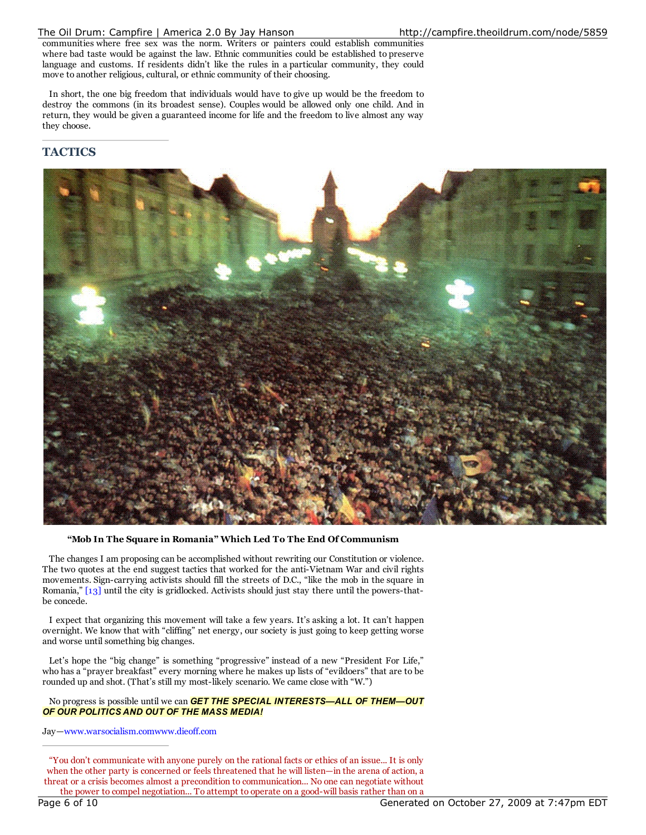communities where free sex was the norm. Writers or painters could establish communities where bad taste would be against the law. Ethnic communities could be established to preserve language and customs. If residents didn't like the rules in a particular community, they could move to another religious, cultural, or ethnic community of their choosing.

In short, the one big freedom that individuals would have to give up would be the freedom to destroy the commons (in its broadest sense). Couples would be allowed only one child. And in return, they would be given a guaranteed income for life and the freedom to live almost any way they choose.

# **TACTICS**



**"Mob In The Square in Romania" Which Led To The End Of Communism**

The changes I am proposing can be accomplished without rewriting our Constitution or violence. The two quotes at the end suggest tactics that worked for the anti-Vietnam War and civil rights movements. Sign-carrying activists should fill the streets of D.C., "like the mob in the square in Romania," [13] until the city is gridlocked. Activists should just stay there until the powers-thatbe concede.

I expect that organizing this movement will take a few years. It's asking a lot. It can't happen overnight. We know that with "cliffing" net energy, our society is just going to keep getting worse and worse until something big changes.

Let's hope the "big change" is something "progressive" instead of a new "President For Life," who has a "prayer breakfast" every morning where he makes up lists of "evildoers" that are to be rounded up and shot. (That's still my most-likely scenario. We came close with "W.")

#### No progress is possible until we can *GET THE SPECIAL INTERESTS—ALL OF THEM—OUT OF OUR POLITICS AND OUT OF THE MASS MEDIA!*

Jay—www.warsocialism.comwww.dieoff.com

"You don't communicate with anyone purely on the rational facts or ethics of an issue... It is only when the other party is concerned or feels threatened that he will listen—in the arena of action, a threat or a crisis becomes almost a precondition to communication... No one can negotiate without the power to compel negotiation... To attempt to operate on a good-will basis rather than on a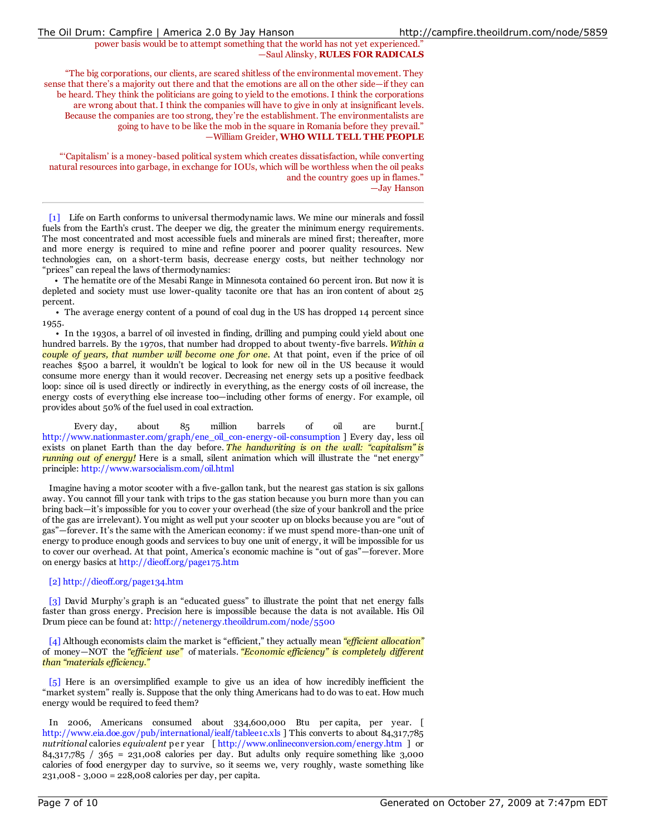## power basis would be to attempt something that the world has not yet experienced." —Saul Alinsky, **RULES FOR RADICALS**

"The big corporations, our clients, are scared shitless of the environmental movement. They sense that there's a majority out there and that the emotions are all on the other side—if they can be heard. They think the politicians are going to yield to the emotions. I think the corporations are wrong about that. I think the companies will have to give in only at insignificant levels. Because the companies are too strong, they're the establishment. The environmentalists are going to have to be like the mob in the square in Romania before they prevail." —William Greider, **WHO WILL TELL THE PEOPLE**

"'Capitalism' is a money-based political system which creates dissatisfaction, while converting natural resources into garbage, in exchange for IOUs, which will be worthless when the oil peaks and the country goes up in flames." —Jay Hanson

[1] Life on Earth conforms to universal thermodynamic laws. We mine our minerals and fossil fuels from the Earth's crust. The deeper we dig, the greater the minimum energy requirements. The most concentrated and most accessible fuels and minerals are mined first; thereafter, more and more energy is required to mine and refine poorer and poorer quality resources. New technologies can, on a short-term basis, decrease energy costs, but neither technology nor "prices" can repeal the laws of thermodynamics:

• The hematite ore of the Mesabi Range in Minnesota contained 60 percent iron. But now it is depleted and society must use lower-quality taconite ore that has an iron content of about 25 percent.

• The average energy content of a pound of coal dug in the US has dropped 14 percent since 1955.

• In the 1930s, a barrel of oil invested in finding, drilling and pumping could yield about one hundred barrels. By the 1970s, that number had dropped to about twenty-five barrels. *Within a couple of years, that number will become one for one.* At that point, even if the price of oil reaches \$500 a barrel, it wouldn't be logical to look for new oil in the US because it would consume more energy than it would recover. Decreasing net energy sets up a positive feedback loop: since oil is used directly or indirectly in everything, as the energy costs of oil increase, the energy costs of everything else increase too—including other forms of energy. For example, oil provides about 50% of the fuel used in coal extraction.

Every day, about 85 million barrels of oil are burnt.[ http://www.nationmaster.com/graph/ene\_oil\_con-energy-oil-consumption ] Every day, less oil exists on planet Earth than the day before. *The handwriting is on the wall: "capitalism" is running out of energy!* Here is a small, silent animation which will illustrate the "net energy" principle: http://www.warsocialism.com/oil.html

Imagine having a motor scooter with a five-gallon tank, but the nearest gas station is six gallons away. You cannot fill your tank with trips to the gas station because you burn more than you can bring back—it's impossible for you to cover your overhead (the size of your bankroll and the price of the gas are irrelevant). You might as well put your scooter up on blocks because you are "out of gas"—forever. It's the same with the American economy: if we must spend more-than-one unit of energy to produce enough goods and services to buy one unit of energy, it will be impossible for us to cover our overhead. At that point, America's economic machine is "out of gas"—forever. More on energy basics at http://dieoff.org/page175.htm

## [2] http://dieoff.org/page134.htm

[3] David Murphy's graph is an "educated guess" to illustrate the point that net energy falls faster than gross energy. Precision here is impossible because the data is not available. His Oil Drum piece can be found at: http://netenergy.theoildrum.com/node/5500

[4] Although economists claim the market is "efficient," they actually mean "efficient *allocation*" of money—NOT the *"ef icient use"* of materials. *"Economic ef iciency" is completely dif erent than "materials ef iciency."*

[5] Here is an oversimplified example to give us an idea of how incredibly inefficient the "market system" really is. Suppose that the only thing Americans had to do was to eat. How much energy would be required to feed them?

In 2006, Americans consumed about 334,600,000 Btu per capita, per year. [ http://www.eia.doe.gov/pub/international/iealf/tablee1c.xls ] This converts to about 84,317,785 *nutritional* calories *equivalent* pe r year [ http://www.onlineconversion.com/energy.htm ] or 84,317,785 / 365 = 231,008 calories per day. But adults only require something like 3,000 calories of food energyper day to survive, so it seems we, very roughly, waste something like 231,008 - 3,000 = 228,008 calories per day, per capita.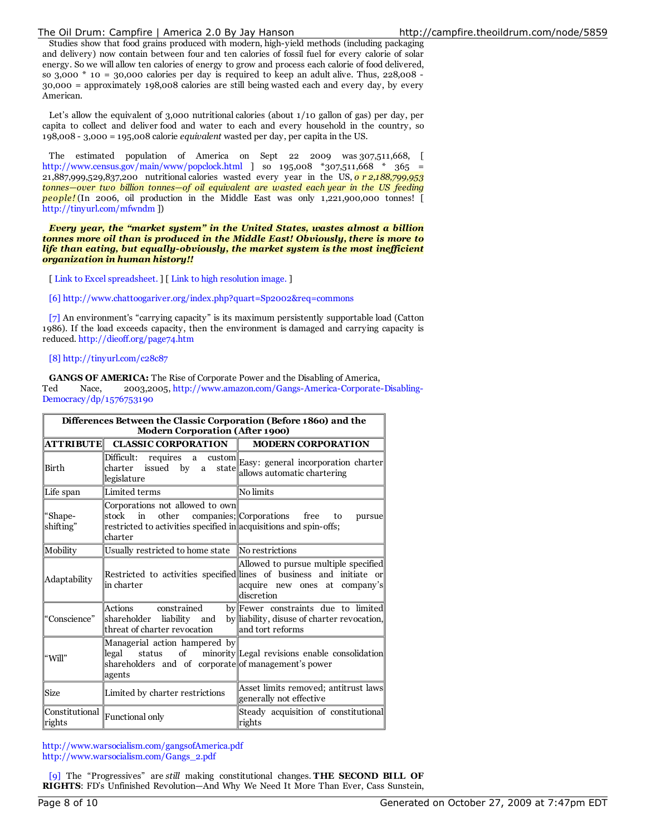Studies show that food grains produced with modern, high-yield methods (including packaging and delivery) now contain between four and ten calories of fossil fuel for every calorie of solar energy. So we will allow ten calories of energy to grow and process each calorie of food delivered, so  $3,000 \times 10 = 30,000$  calories per day is required to keep an adult alive. Thus,  $228,008 -$ 30,000 = approximately 198,008 calories are still being wasted each and every day, by every American.

Let's allow the equivalent of 3,000 nutritional calories (about 1/10 gallon of gas) per day, per capita to collect and deliver food and water to each and every household in the country, so 198,008 - 3,000 = 195,008 calorie *equivalent* wasted per day, per capita in the US.

The estimated population of America on Sept 22 2009 was 307,511,668, [ http://www.census.gov/main/www/popclock.html ] so  $195,008$  \*307,511,668 \* 365 = 21,887,999,529,837,200 nutritional calories wasted every year in the US, *o r 2,188,799,953 tonnes—over two billion tonnes—of oil equivalent are wasted each year in the US feeding people!* (In 2006, oil production in the Middle East was only 1,221,900,000 tonnes! [ http://tinyurl.com/mfwndm ])

*Every year, the "market system" in the United States, wastes almost a billion tonnes more oil than is produced in the Middle East! Obviously, there is more to life than eating, but equally-obviously, the market system is the most inef icient organization in human history!!*

[ Link to Excel spreadsheet. ] [ Link to high resolution image. ]

[6] http://www.chattoogariver.org/index.php?quart=Sp2002&req=commons

[7] An environment's "carrying capacity" is its maximum persistently supportable load (Catton 1986). If the load exceeds capacity, then the environment is damaged and carrying capacity is reduced. http://dieoff.org/page74.htm

[8] http://tinyurl.com/c28c87

**GANGS OF AMERICA:** The Rise of Corporate Power and the Disabling of America, Ted Nace, 2003,2005, http://www.amazon.com/Gangs-America-Corporate-Disabling-Democracy/dp/1576753190

| Differences Between the Classic Corporation (Before 1860) and the<br><b>Modern Corporation (After 1900)</b> |                                                                                                                                         |                                                                                                                                                             |  |  |  |
|-------------------------------------------------------------------------------------------------------------|-----------------------------------------------------------------------------------------------------------------------------------------|-------------------------------------------------------------------------------------------------------------------------------------------------------------|--|--|--|
|                                                                                                             |                                                                                                                                         | <b>MODERN CORPORATION</b>                                                                                                                                   |  |  |  |
| Birth                                                                                                       | Difficult:<br>charter issued by a state allows automatic chartering<br>legislature                                                      | requires a custom Easy: general incorporation charter                                                                                                       |  |  |  |
| Life span                                                                                                   | Limited terms                                                                                                                           | No limits                                                                                                                                                   |  |  |  |
| "Shape-<br>shifting"                                                                                        | Corporations not allowed to own<br>in<br>other<br>stock<br>restricted to activities specified in acquisitions and spin-offs;<br>charter | companies; Corporations free<br>to<br>pursue                                                                                                                |  |  |  |
| Mobility                                                                                                    | Usually restricted to home state                                                                                                        | No restrictions                                                                                                                                             |  |  |  |
| Adaptability                                                                                                | in charter                                                                                                                              | Allowed to pursue multiple specified<br>Restricted to activities specified lines of business and initiate or<br>acquire new ones at company's<br>discretion |  |  |  |
| "Conscience"                                                                                                | Actions constrained<br>shareholder liability and<br>threat of charter revocation                                                        | by Fewer constraints due to limited<br>by liability, disuse of charter revocation,<br>and tort reforms                                                      |  |  |  |
| "Will"                                                                                                      | Managerial action hampered by<br>legal<br>shareholders and of corporate of management's power<br>agents                                 | status of minority Legal revisions enable consolidation                                                                                                     |  |  |  |
| Size                                                                                                        | Limited by charter restrictions                                                                                                         | Asset limits removed; antitrust laws<br>generally not effective                                                                                             |  |  |  |
| ∥rights                                                                                                     | $\boxed{\text{Constitutional}}$ $\parallel$ Functional only                                                                             | Steady acquisition of constitutional<br>rights                                                                                                              |  |  |  |

http://www.warsocialism.com/gangsofAmerica.pdf http://www.warsocialism.com/Gangs\_2.pdf

[9] The "Progressives" are *still* making constitutional changes. **THE SECOND BILL OF RIGHTS**: FD's Unfinished Revolution—And Why We Need It More Than Ever, Cass Sunstein,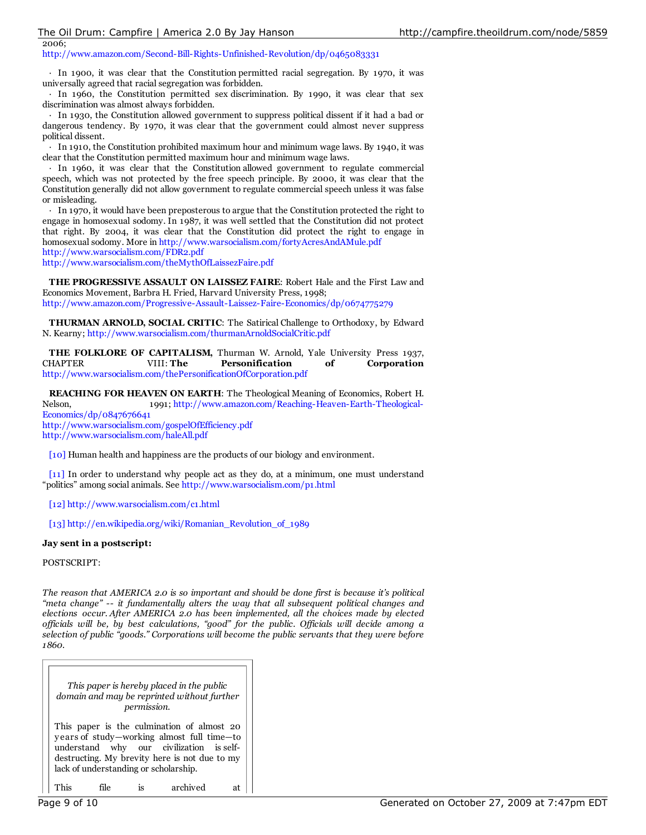2006; http://www.amazon.com/Second-Bill-Rights-Unfinished-Revolution/dp/0465083331

· In 1900, it was clear that the Constitution permitted racial segregation. By 1970, it was universally agreed that racial segregation was forbidden.

· In 1960, the Constitution permitted sex discrimination. By 1990, it was clear that sex discrimination was almost always forbidden.

· In 1930, the Constitution allowed government to suppress political dissent if it had a bad or dangerous tendency. By 1970, it was clear that the government could almost never suppress political dissent.

· In 1910, the Constitution prohibited maximum hour and minimum wage laws. By 1940, it was clear that the Constitution permitted maximum hour and minimum wage laws.

· In 1960, it was clear that the Constitution allowed government to regulate commercial speech, which was not protected by the free speech principle. By 2000, it was clear that the Constitution generally did not allow government to regulate commercial speech unless it was false or misleading.

· In 1970, it would have been preposterous to argue that the Constitution protected the right to engage in homosexual sodomy. In 1987, it was well settled that the Constitution did not protect that right. By 2004, it was clear that the Constitution did protect the right to engage in homosexual sodomy. More in http://www.warsocialism.com/fortyAcresAndAMule.pdf http://www.warsocialism.com/FDR2.pdf

http://www.warsocialism.com/theMythOfLaissezFaire.pdf

**THE PROGRESSIVE ASSAULT ON LAISSEZ FAIRE**: Robert Hale and the First Law and Economics Movement, Barbra H. Fried, Harvard University Press, 1998; http://www.amazon.com/Progressive-Assault-Laissez-Faire-Economics/dp/0674775279

**THURMAN ARNOLD, SOCIAL CRITIC**: The Satirical Challenge to Orthodoxy, by Edward N. Kearny; http://www.warsocialism.com/thurmanArnoldSocialCritic.pdf

**THE FOLKLORE OF CAPITALISM,** Thurman W. Arnold, Yale University Press 1937, CHAPTER VIII: **The Personification of Corporation** http://www.warsocialism.com/thePersonificationOfCorporation.pdf

**REACHING FOR HEAVEN ON EARTH**: The Theological Meaning of Economics, Robert H. Nelson, 1991; http://www.amazon.com/Reaching-Heaven-Earth-Theological-Economics/dp/0847676641 http://www.warsocialism.com/gospelOfEfficiency.pdf http://www.warsocialism.com/haleAll.pdf

[10] Human health and happiness are the products of our biology and environment.

[11] In order to understand why people act as they do, at a minimum, one must understand "politics" among social animals. See http://www.warsocialism.com/p1.html

[12] http://www.warsocialism.com/c1.html

[13] http://en.wikipedia.org/wiki/Romanian\_Revolution\_of\_1989

#### **Jay sent in a postscript:**

POSTSCRIPT:

*The reason that AMERICA 2.0 is so important and should be done first is because it's political "meta change" -- it fundamentally alters the way that all subsequent political changes and elections occur. After AMERICA 2.0 has been implemented, all the choices made by elected of icials will be, by best calculations, "good" for the public. Of icials will decide among a selection of public "goods." Corporations will become the public servants that they were before 1860.*

| This paper is hereby placed in the public<br>domain and may be reprinted without further<br><i>permission.</i>                                                                                                                 |  |  |          |  |  |  |  |
|--------------------------------------------------------------------------------------------------------------------------------------------------------------------------------------------------------------------------------|--|--|----------|--|--|--|--|
| This paper is the culmination of almost 20<br>years of study—working almost full time—to<br>understand why our civilization is self-<br>destructing. My brevity here is not due to my<br>lack of understanding or scholarship. |  |  |          |  |  |  |  |
|                                                                                                                                                                                                                                |  |  | archived |  |  |  |  |